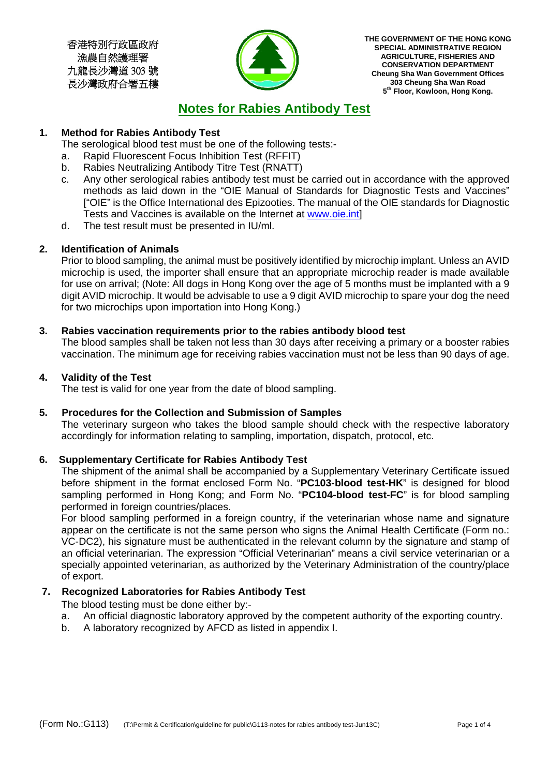香港特別行政區政府 漁農自然護理署 九龍長沙灣道 303 號 長沙灣政府合署五樓



**THE GOVERNMENT OF THE HONG KONG SPECIAL ADMINISTRATIVE REGION AGRICULTURE, FISHERIES AND CONSERVATION DEPARTMENT Cheung Sha Wan Government Offices 303 Cheung Sha Wan Road 5th Floor, Kowloon, Hong Kong.** 

# **Notes for Rabies Antibody Test**

## **1. Method for Rabies Antibody Test**

The serological blood test must be one of the following tests:-

- a. Rapid Fluorescent Focus Inhibition Test (RFFIT)
- b. Rabies Neutralizing Antibody Titre Test (RNATT)
- c. Any other serological rabies antibody test must be carried out in accordance with the approved methods as laid down in the "OIE Manual of Standards for Diagnostic Tests and Vaccines" ["OIE" is the Office International des Epizooties. The manual of the OIE standards for Diagnostic Tests and Vaccines is available on the Internet at www.oie.int]
- d. The test result must be presented in IU/ml.

## **2. Identification of Animals**

Prior to blood sampling, the animal must be positively identified by microchip implant. Unless an AVID microchip is used, the importer shall ensure that an appropriate microchip reader is made available for use on arrival; (Note: All dogs in Hong Kong over the age of 5 months must be implanted with a 9 digit AVID microchip. It would be advisable to use a 9 digit AVID microchip to spare your dog the need for two microchips upon importation into Hong Kong.)

## **3. Rabies vaccination requirements prior to the rabies antibody blood test**

The blood samples shall be taken not less than 30 days after receiving a primary or a booster rabies vaccination. The minimum age for receiving rabies vaccination must not be less than 90 days of age.

## **4. Validity of the Test**

The test is valid for one year from the date of blood sampling.

## **5. Procedures for the Collection and Submission of Samples**

The veterinary surgeon who takes the blood sample should check with the respective laboratory accordingly for information relating to sampling, importation, dispatch, protocol, etc.

## **6. Supplementary Certificate for Rabies Antibody Test**

The shipment of the animal shall be accompanied by a Supplementary Veterinary Certificate issued before shipment in the format enclosed Form No. "**PC103-blood test-HK**" is designed for blood sampling performed in Hong Kong; and Form No. "**PC104-blood test-FC**" is for blood sampling performed in foreign countries/places.

For blood sampling performed in a foreign country, if the veterinarian whose name and signature appear on the certificate is not the same person who signs the Animal Health Certificate (Form no.: VC-DC2), his signature must be authenticated in the relevant column by the signature and stamp of an official veterinarian. The expression "Official Veterinarian" means a civil service veterinarian or a specially appointed veterinarian, as authorized by the Veterinary Administration of the country/place of export.

## **7. Recognized Laboratories for Rabies Antibody Test**

The blood testing must be done either by:-

- a. An official diagnostic laboratory approved by the competent authority of the exporting country.
- b. A laboratory recognized by AFCD as listed in appendix I.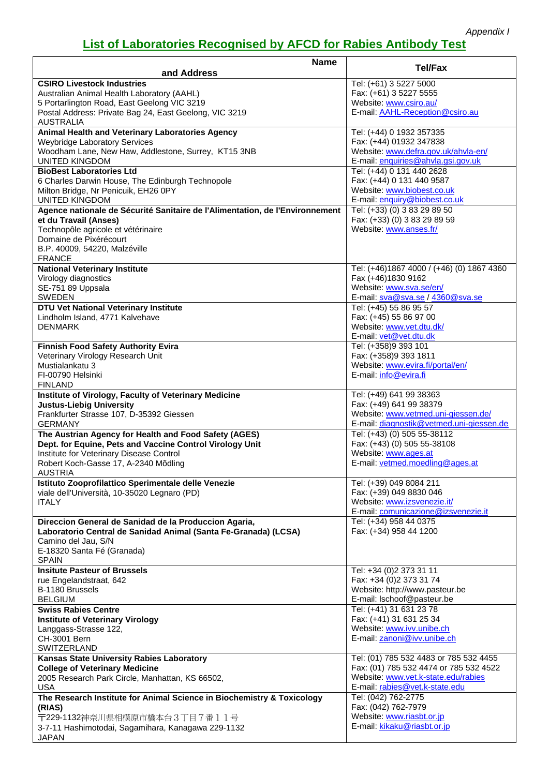# **List of Laboratories Recognised by AFCD for Rabies Antibody Test**

| <b>Name</b><br>and Address                                                   | <b>Tel/Fax</b>                                            |
|------------------------------------------------------------------------------|-----------------------------------------------------------|
| <b>CSIRO Livestock Industries</b>                                            | Tel: (+61) 3 5227 5000                                    |
| Australian Animal Health Laboratory (AAHL)                                   | Fax: (+61) 3 5227 5555                                    |
| 5 Portarlington Road, East Geelong VIC 3219                                  | Website: www.csiro.au/                                    |
| Postal Address: Private Bag 24, East Geelong, VIC 3219                       | E-mail: AAHL-Reception@csiro.au                           |
| AUSTRALIA                                                                    |                                                           |
| Animal Health and Veterinary Laboratories Agency                             | Tel: (+44) 0 1932 357335                                  |
| <b>Weybridge Laboratory Services</b>                                         | Fax: (+44) 01932 347838                                   |
| Woodham Lane, New Haw, Addlestone, Surrey, KT15 3NB                          | Website: www.defra.gov.uk/ahvla-en/                       |
| <b>UNITED KINGDOM</b>                                                        | E-mail: enquiries@ahvla.gsi.gov.uk                        |
| <b>BioBest Laboratories Ltd</b>                                              | Tel: (+44) 0 131 440 2628                                 |
| 6 Charles Darwin House, The Edinburgh Technopole                             | Fax: (+44) 0 131 440 9587                                 |
| Milton Bridge, Nr Penicuik, EH26 0PY                                         | Website: www.biobest.co.uk                                |
| <b>UNITED KINGDOM</b>                                                        | E-mail: enquiry@biobest.co.uk                             |
| Agence nationale de Sécurité Sanitaire de l'Alimentation, de l'Environnement | Tel: (+33) (0) 3 83 29 89 50                              |
| et du Travail (Anses)<br>Technopôle agricole et vétérinaire                  | Fax: (+33) (0) 3 83 29 89 59<br>Website: www.anses.fr/    |
| Domaine de Pixérécourt                                                       |                                                           |
| B.P. 40009, 54220, Malzéville                                                |                                                           |
| <b>FRANCE</b>                                                                |                                                           |
| <b>National Veterinary Institute</b>                                         | Tel: (+46)1867 4000 / (+46) (0) 1867 4360                 |
| Virology diagnostics                                                         | Fax (+46)1830 9162                                        |
| SE-751 89 Uppsala                                                            | Website: www.sva.se/en/                                   |
| <b>SWEDEN</b>                                                                | E-mail: sva@sva.se / 4360@sva.se                          |
| DTU Vet National Veterinary Institute                                        | Tel: (+45) 55 86 95 57                                    |
| Lindholm Island, 4771 Kalvehave                                              | Fax: (+45) 55 86 97 00                                    |
| <b>DENMARK</b>                                                               | Website: www.vet.dtu.dk/                                  |
|                                                                              | E-mail: vet@vet.dtu.dk                                    |
| <b>Finnish Food Safety Authority Evira</b>                                   | Tel: (+358)9 393 101                                      |
| Veterinary Virology Research Unit<br>Mustialankatu 3                         | Fax: (+358)9 393 1811<br>Website: www.evira.fi/portal/en/ |
| FI-00790 Helsinki                                                            | E-mail: info@evira.fi                                     |
| <b>FINLAND</b>                                                               |                                                           |
| Institute of Virology, Faculty of Veterinary Medicine                        | Tel: (+49) 641 99 38363                                   |
| <b>Justus-Liebig University</b>                                              | Fax: (+49) 641 99 38379                                   |
| Frankfurter Strasse 107, D-35392 Giessen                                     | Website: www.vetmed.uni-giessen.de/                       |
| <b>GERMANY</b>                                                               | E-mail: diagnostik@vetmed.uni-giessen.de                  |
| The Austrian Agency for Health and Food Safety (AGES)                        | Tel: (+43) (0) 505 55-38112                               |
| Dept. for Equine, Pets and Vaccine Control Virology Unit                     | Fax: (+43) (0) 505 55-38108                               |
| Institute for Veterinary Disease Control                                     | Website: www.ages.at                                      |
| Robert Koch-Gasse 17, A-2340 Mõdling<br><b>AUSTRIA</b>                       | E-mail: vetmed.moedling@ages.at                           |
| Istituto Zooprofilattico Sperimentale delle Venezie                          | Tel: (+39) 049 8084 211                                   |
| viale dell'Università, 10-35020 Legnaro (PD)                                 | Fax: (+39) 049 8830 046                                   |
| <b>ITALY</b>                                                                 | Website: www.izsvenezie.it/                               |
|                                                                              | E-mail: comunicazione@izsvenezie.it                       |
| Direccion General de Sanidad de la Produccion Agaria,                        | Tel: (+34) 958 44 0375                                    |
| Laboratorio Central de Sanidad Animal (Santa Fe-Granada) (LCSA)              | Fax: (+34) 958 44 1200                                    |
| Camino del Jau, S/N                                                          |                                                           |
| E-18320 Santa Fé (Granada)                                                   |                                                           |
| <b>SPAIN</b>                                                                 |                                                           |
| <b>Insitute Pasteur of Brussels</b>                                          | Tel: +34 (0)2 373 31 11                                   |
| rue Engelandstraat, 642<br>B-1180 Brussels                                   | Fax: +34 (0)2 373 31 74<br>Website: http://www.pasteur.be |
| <b>BELGIUM</b>                                                               | E-mail: Ischoof@pasteur.be                                |
| <b>Swiss Rabies Centre</b>                                                   | Tel: (+41) 31 631 23 78                                   |
| <b>Institute of Veterinary Virology</b>                                      | Fax: (+41) 31 631 25 34                                   |
| Langgass-Strasse 122,                                                        | Website: www.ivv.unibe.ch                                 |
| CH-3001 Bern                                                                 | E-mail: zanoni@ivv.unibe.ch                               |
| SWITZERLAND                                                                  |                                                           |
| Kansas State University Rabies Laboratory                                    | Tel: (01) 785 532 4483 or 785 532 4455                    |
| <b>College of Veterinary Medicine</b>                                        | Fax: (01) 785 532 4474 or 785 532 4522                    |
| 2005 Research Park Circle, Manhattan, KS 66502,                              | Website: www.vet.k-state.edu/rabies                       |
| <b>USA</b>                                                                   | E-mail: rabies@vet.k-state.edu                            |
| The Research Institute for Animal Science in Biochemistry & Toxicology       | Tel: (042) 762-2775                                       |
| (RIAS)                                                                       | Fax: (042) 762-7979<br>Website: www.riasbt.or.jp          |
| 〒229-1132神奈川県相模原市橋本台3丁目7番11号                                                 | E-mail: kikaku@riasbt.or.jp                               |
| 3-7-11 Hashimotodai, Sagamihara, Kanagawa 229-1132<br><b>JAPAN</b>           |                                                           |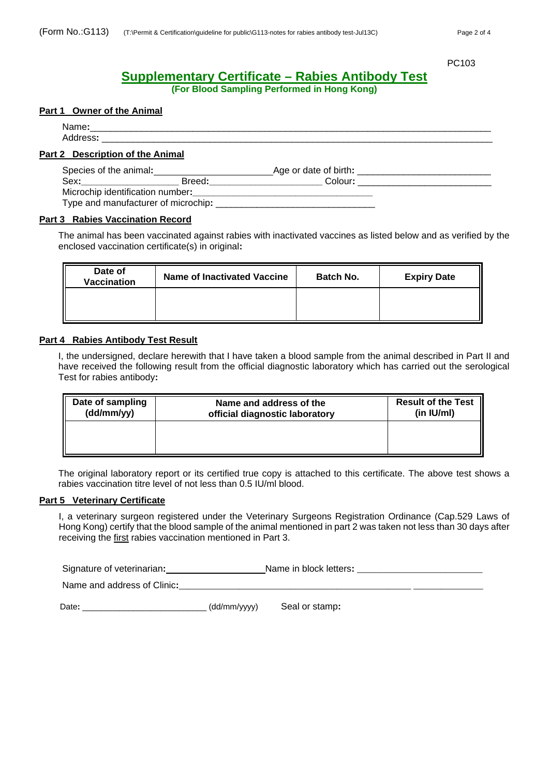PC103 PC103

# **Supplementary Certificate – Rabies Antibody Test**

**(For Blood Sampling Performed in Hong Kong)** 

## **Part 1 Owner of the Animal**

Name**:**\_\_\_\_\_\_\_\_\_\_\_\_\_\_\_\_\_\_\_\_\_\_\_\_\_\_\_\_\_\_\_\_\_\_\_\_\_\_\_\_\_\_\_\_\_\_\_\_\_\_\_\_\_\_\_\_\_\_\_\_\_\_\_\_\_\_\_\_\_\_\_\_\_\_\_\_\_\_ Address**:** \_\_\_\_\_\_\_\_\_\_\_\_\_\_\_\_\_\_\_\_\_\_\_\_\_\_\_\_\_\_\_\_\_\_\_\_\_\_\_\_\_\_\_\_\_\_\_\_\_\_\_\_\_\_\_\_\_\_\_\_\_\_\_\_\_\_\_\_\_\_\_\_\_\_\_\_

## **Part 2 Description of the Animal**

| Species of the animal:              |        | Age or date of birth: |  |
|-------------------------------------|--------|-----------------------|--|
| Sex:                                | Breed: | Colour:               |  |
| Microchip identification number:    |        |                       |  |
| Type and manufacturer of microchip: |        |                       |  |

#### **Part 3 Rabies Vaccination Record**

The animal has been vaccinated against rabies with inactivated vaccines as listed below and as verified by the enclosed vaccination certificate(s) in original**:**

| Date of<br><b>Vaccination</b> | Name of Inactivated Vaccine | <b>Batch No.</b> | <b>Expiry Date</b> |
|-------------------------------|-----------------------------|------------------|--------------------|
|                               |                             |                  |                    |

#### **Part 4 Rabies Antibody Test Result**

I, the undersigned, declare herewith that I have taken a blood sample from the animal described in Part II and have received the following result from the official diagnostic laboratory which has carried out the serological Test for rabies antibody**:**

| Date of sampling | Name and address of the        | <b>Result of the Test</b> |
|------------------|--------------------------------|---------------------------|
| (dd/mm/yy)       | official diagnostic laboratory | (in IU/ml)                |
|                  |                                |                           |

The original laboratory report or its certified true copy is attached to this certificate. The above test shows a rabies vaccination titre level of not less than 0.5 IU/ml blood.

## **Part 5 Veterinary Certificate**

I, a veterinary surgeon registered under the Veterinary Surgeons Registration Ordinance (Cap.529 Laws of Hong Kong) certify that the blood sample of the animal mentioned in part 2 was taken not less than 30 days after receiving the first rabies vaccination mentioned in Part 3.

Signature of veterinarian: \_\_\_\_\_\_\_\_\_\_\_\_\_\_\_\_\_\_\_\_\_\_\_\_\_\_\_Name in block letters: \_\_\_\_

Name and address of Clinic:

Date: \_\_\_\_\_\_\_\_\_\_\_\_\_\_\_\_\_\_\_\_\_\_\_\_\_\_\_\_\_\_\_\_\_\_ (dd/mm/yyyy) Seal or stamp: